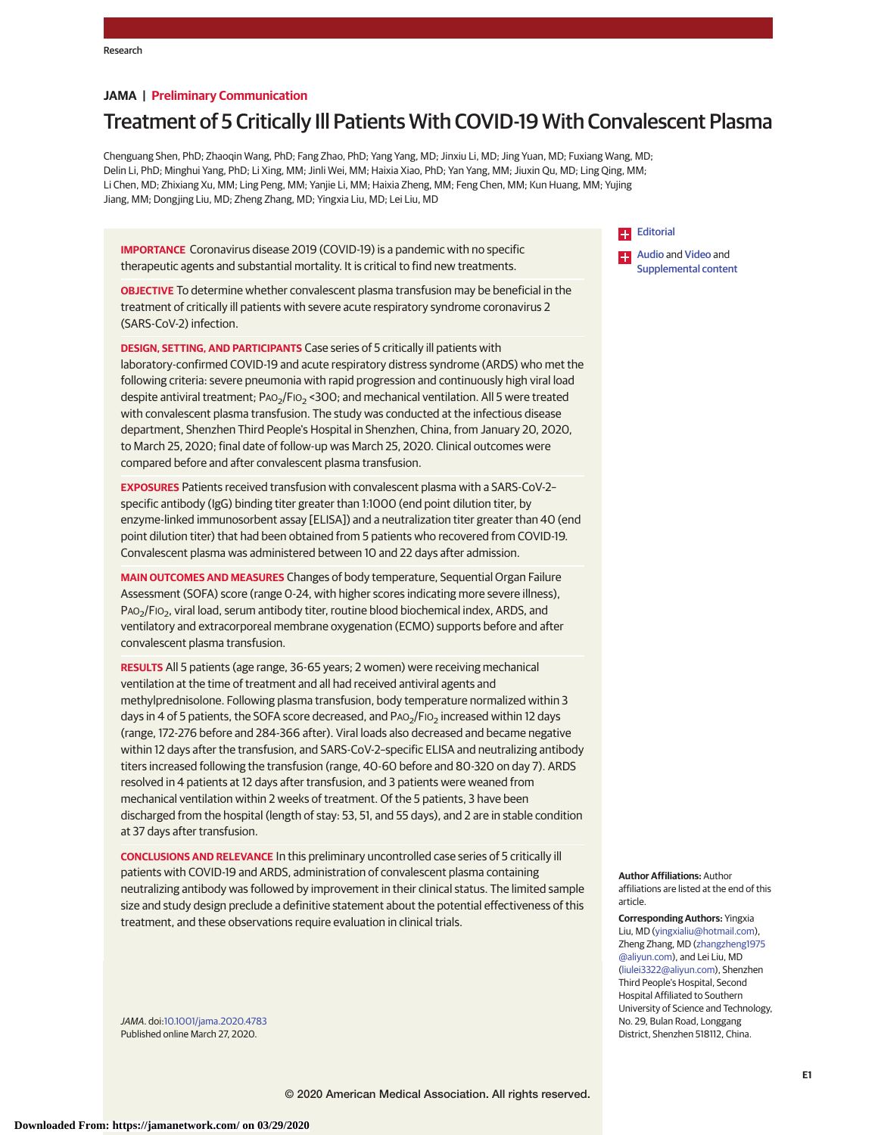### **JAMA | Preliminary Communication**

# Treatment of 5 Critically Ill Patients With COVID-19 With Convalescent Plasma

Chenguang Shen, PhD; Zhaoqin Wang, PhD; Fang Zhao, PhD; Yang Yang, MD; Jinxiu Li, MD; Jing Yuan, MD; Fuxiang Wang, MD; Delin Li, PhD; Minghui Yang, PhD; Li Xing, MM; Jinli Wei, MM; Haixia Xiao, PhD; Yan Yang, MM; Jiuxin Qu, MD; Ling Qing, MM; Li Chen, MD; Zhixiang Xu, MM; Ling Peng, MM; Yanjie Li, MM; Haixia Zheng, MM; Feng Chen, MM; Kun Huang, MM; Yujing Jiang, MM; Dongjing Liu, MD; Zheng Zhang, MD; Yingxia Liu, MD; Lei Liu, MD

**IMPORTANCE** Coronavirus disease 2019 (COVID-19) is a pandemic with no specific therapeutic agents and substantial mortality. It is critical to find new treatments.

**OBJECTIVE** To determine whether convalescent plasma transfusion may be beneficial in the treatment of critically ill patients with severe acute respiratory syndrome coronavirus 2 (SARS-CoV-2) infection.

**DESIGN, SETTING, AND PARTICIPANTS** Case series of 5 critically ill patients with laboratory-confirmed COVID-19 and acute respiratory distress syndrome (ARDS) who met the following criteria: severe pneumonia with rapid progression and continuously high viral load despite antiviral treatment; PAO<sub>2</sub>/FIO<sub>2</sub> < 300; and mechanical ventilation. All 5 were treated with convalescent plasma transfusion. The study was conducted at the infectious disease department, Shenzhen Third People's Hospital in Shenzhen, China, from January 20, 2020, to March 25, 2020; final date of follow-up was March 25, 2020. Clinical outcomes were compared before and after convalescent plasma transfusion.

**EXPOSURES** Patients received transfusion with convalescent plasma with a SARS-CoV-2– specific antibody (IgG) binding titer greater than 1:1000 (end point dilution titer, by enzyme-linked immunosorbent assay [ELISA]) and a neutralization titer greater than 40 (end point dilution titer) that had been obtained from 5 patients who recovered from COVID-19. Convalescent plasma was administered between 10 and 22 days after admission.

**MAIN OUTCOMES AND MEASURES** Changes of body temperature, Sequential Organ Failure Assessment (SOFA) score (range 0-24, with higher scores indicating more severe illness), PAO<sub>2</sub>/FIO<sub>2</sub>, viral load, serum antibody titer, routine blood biochemical index, ARDS, and ventilatory and extracorporeal membrane oxygenation (ECMO) supports before and after convalescent plasma transfusion.

**RESULTS** All 5 patients (age range, 36-65 years; 2 women) were receiving mechanical ventilation at the time of treatment and all had received antiviral agents and methylprednisolone. Following plasma transfusion, body temperature normalized within 3 days in 4 of 5 patients, the SOFA score decreased, and  $PaO<sub>2</sub>/FiO<sub>2</sub>$  increased within 12 days (range, 172-276 before and 284-366 after). Viral loads also decreased and became negative within 12 days after the transfusion, and SARS-CoV-2–specific ELISA and neutralizing antibody titers increased following the transfusion (range, 40-60 before and 80-320 on day 7). ARDS resolved in 4 patients at 12 days after transfusion, and 3 patients were weaned from mechanical ventilation within 2 weeks of treatment. Of the 5 patients, 3 have been discharged from the hospital (length of stay: 53, 51, and 55 days), and 2 are in stable condition at 37 days after transfusion.

**CONCLUSIONS AND RELEVANCE** In this preliminary uncontrolled case series of 5 critically ill patients with COVID-19 and ARDS, administration of convalescent plasma containing neutralizing antibody was followed by improvement in their clinical status. The limited sample size and study design preclude a definitive statement about the potential effectiveness of this treatment, and these observations require evaluation in clinical trials.

**Author Affiliations:** Author affiliations are listed at the end of this article.

**Corresponding Authors:** Yingxia Liu, MD [\(yingxialiu@hotmail.com\)](mailto:yingxialiu@hotmail.com), Zheng Zhang, MD [\(zhangzheng1975](mailto:zhangzheng1975@aliyun.com) [@aliyun.com\)](mailto:zhangzheng1975@aliyun.com), and Lei Liu, MD [\(liulei3322@aliyun.com\)](mailto:liulei3322@aliyun.com), Shenzhen Third People's Hospital, Second Hospital Affiliated to Southern University of Science and Technology, No. 29, Bulan Road, Longgang District, Shenzhen 518112, China.

JAMA. doi[:10.1001/jama.2020.4783](https://jamanetwork.com/journals/jama/fullarticle/10.1001/jama.2020.4783?utm_campaign=articlePDF%26utm_medium=articlePDFlink%26utm_source=articlePDF%26utm_content=jama.2020.4783) Published online March 27, 2020.

# **[Editorial](https://jamanetwork.com/journals/jama/fullarticle/10.1001/jama.2020.4940?utm_campaign=articlePDF%26utm_medium=articlePDFlink%26utm_source=articlePDF%26utm_content=jama.2020.4783)**

[Audio](https://jamanetwork.com/journals/jama/fullarticle/10.1001/jama.2020.4783?utm_campaign=articlePDF%26utm_medium=articlePDFlink%26utm_source=articlePDF%26utm_content=jama.2020.4783) and [Video](https://jamanetwork.com/journals/jama/fullarticle/10.1001/jama.2020.4783?utm_campaign=articlePDF%26utm_medium=articlePDFlink%26utm_source=articlePDF%26utm_content=jama.2020.4783) and [Supplemental content](https://jamanetwork.com/journals/jama/fullarticle/10.1001/jama.2020.4783/?utm_campaign=articlePDF%26utm_medium=articlePDFlink%26utm_source=articlePDF%26utm_content=jama.2020.4783)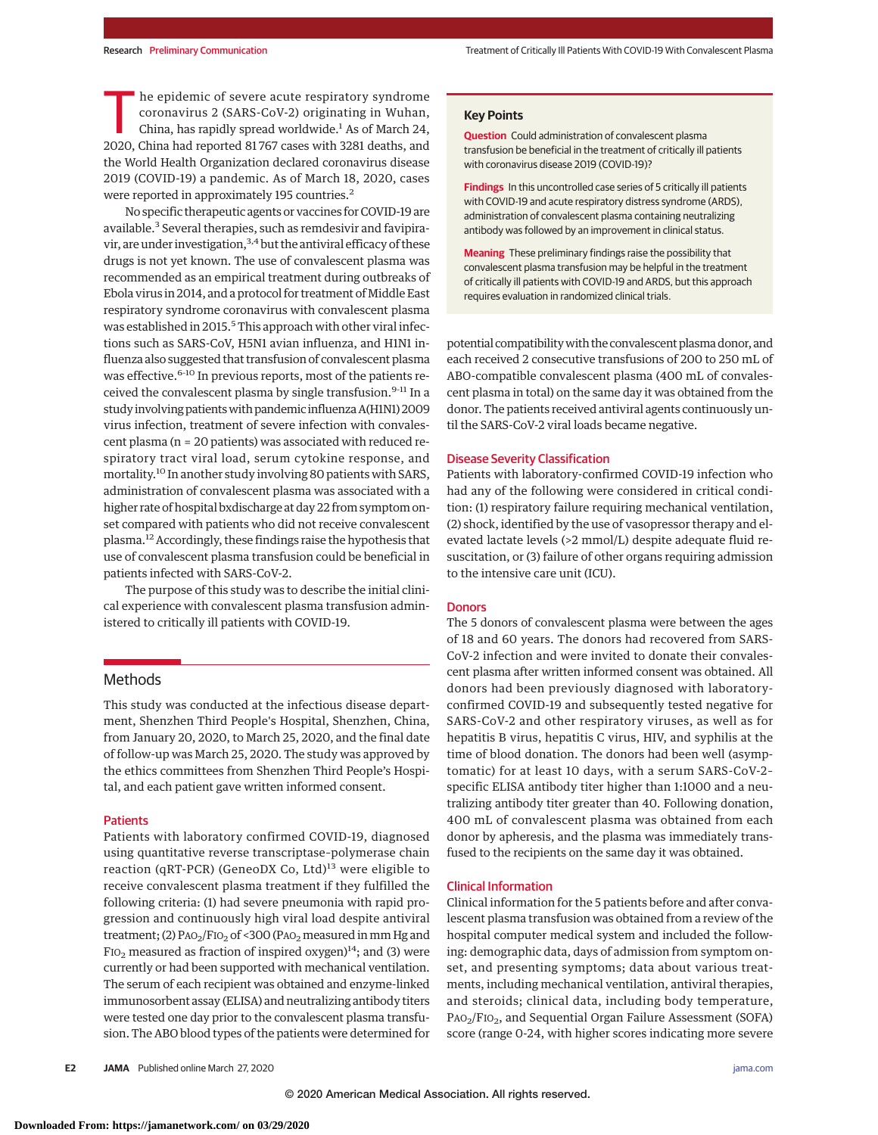he epidemic of severe acute respiratory syndrome coronavirus 2 (SARS-CoV-2) originating in Wuhan, China, has rapidly spread worldwide.<sup>1</sup> As of March 24, 2020, China had reported 81 767 cases with 3281 deaths, and the World Health Organization declared coronavirus disease 2019 (COVID-19) a pandemic. As of March 18, 2020, cases were reported in approximately 195 countries.<sup>2</sup>

No specific therapeutic agents or vaccines for COVID-19 are available.<sup>3</sup> Several therapies, such as remdesivir and favipiravir, are under investigation,  $3,4$  but the antiviral efficacy of these drugs is not yet known. The use of convalescent plasma was recommended as an empirical treatment during outbreaks of Ebola virus in 2014, and a protocol for treatment of Middle East respiratory syndrome coronavirus with convalescent plasma was established in 2015.<sup>5</sup> This approach with other viral infections such as SARS-CoV, H5N1 avian influenza, and H1N1 influenza also suggested that transfusion of convalescent plasma was effective.<sup>6-10</sup> In previous reports, most of the patients received the convalescent plasma by single transfusion.<sup>9-11</sup> In a study involving patientswith pandemic influenza A(H1N1) 2009 virus infection, treatment of severe infection with convalescent plasma (n = 20 patients) was associated with reduced respiratory tract viral load, serum cytokine response, and mortality.10 In another study involving 80 patients with SARS, administration of convalescent plasma was associated with a higher rate of hospital bxdischarge at day 22 from symptom onset compared with patients who did not receive convalescent plasma.12 Accordingly, these findings raise the hypothesis that use of convalescent plasma transfusion could be beneficial in patients infected with SARS-CoV-2.

The purpose of this study was to describe the initial clinical experience with convalescent plasma transfusion administered to critically ill patients with COVID-19.

# Methods

This study was conducted at the infectious disease department, Shenzhen Third People's Hospital, Shenzhen, China, from January 20, 2020, to March 25, 2020, and the final date of follow-up was March 25, 2020. The study was approved by the ethics committees from Shenzhen Third People's Hospital, and each patient gave written informed consent.

#### **Patients**

Patients with laboratory confirmed COVID-19, diagnosed using quantitative reverse transcriptase–polymerase chain reaction (qRT-PCR) (GeneoDX Co, Ltd)<sup>13</sup> were eligible to receive convalescent plasma treatment if they fulfilled the following criteria: (1) had severe pneumonia with rapid progression and continuously high viral load despite antiviral treatment; (2)  $P_{AO_2}/F_{IO_2}$  of <300 (PAO<sub>2</sub> measured in mm Hg and  $FIO<sub>2</sub>$  measured as fraction of inspired oxygen)<sup>14</sup>; and (3) were currently or had been supported with mechanical ventilation. The serum of each recipient was obtained and enzyme-linked immunosorbent assay (ELISA) and neutralizing antibody titers were tested one day prior to the convalescent plasma transfusion. The ABO blood types of the patients were determined for **Question** Could administration of convalescent plasma transfusion be beneficial in the treatment of critically ill patients with coronavirus disease 2019 (COVID-19)?

**Findings** In this uncontrolled case series of 5 critically ill patients with COVID-19 and acute respiratory distress syndrome (ARDS), administration of convalescent plasma containing neutralizing antibody was followed by an improvement in clinical status.

**Meaning** These preliminary findings raise the possibility that convalescent plasma transfusion may be helpful in the treatment of critically ill patients with COVID-19 and ARDS, but this approach requires evaluation in randomized clinical trials.

potential compatibilitywith the convalescent plasma donor, and each received 2 consecutive transfusions of 200 to 250 mL of ABO-compatible convalescent plasma (400 mL of convalescent plasma in total) on the same day it was obtained from the donor. The patients received antiviral agents continuously until the SARS-CoV-2 viral loads became negative.

#### Disease Severity Classification

Patients with laboratory-confirmed COVID-19 infection who had any of the following were considered in critical condition: (1) respiratory failure requiring mechanical ventilation, (2) shock, identified by the use of vasopressor therapy and elevated lactate levels (>2 mmol/L) despite adequate fluid resuscitation, or (3) failure of other organs requiring admission to the intensive care unit (ICU).

#### **Donors**

The 5 donors of convalescent plasma were between the ages of 18 and 60 years. The donors had recovered from SARS-CoV-2 infection and were invited to donate their convalescent plasma after written informed consent was obtained. All donors had been previously diagnosed with laboratoryconfirmed COVID-19 and subsequently tested negative for SARS-CoV-2 and other respiratory viruses, as well as for hepatitis B virus, hepatitis C virus, HIV, and syphilis at the time of blood donation. The donors had been well (asymptomatic) for at least 10 days, with a serum SARS-CoV-2– specific ELISA antibody titer higher than 1:1000 and a neutralizing antibody titer greater than 40. Following donation, 400 mL of convalescent plasma was obtained from each donor by apheresis, and the plasma was immediately transfused to the recipients on the same day it was obtained.

#### Clinical Information

Clinical information for the 5 patients before and after convalescent plasma transfusion was obtained from a review of the hospital computer medical system and included the following: demographic data, days of admission from symptom onset, and presenting symptoms; data about various treatments, including mechanical ventilation, antiviral therapies, and steroids; clinical data, including body temperature, PAO<sub>2</sub>/FIO<sub>2</sub>, and Sequential Organ Failure Assessment (SOFA) score (range 0-24, with higher scores indicating more severe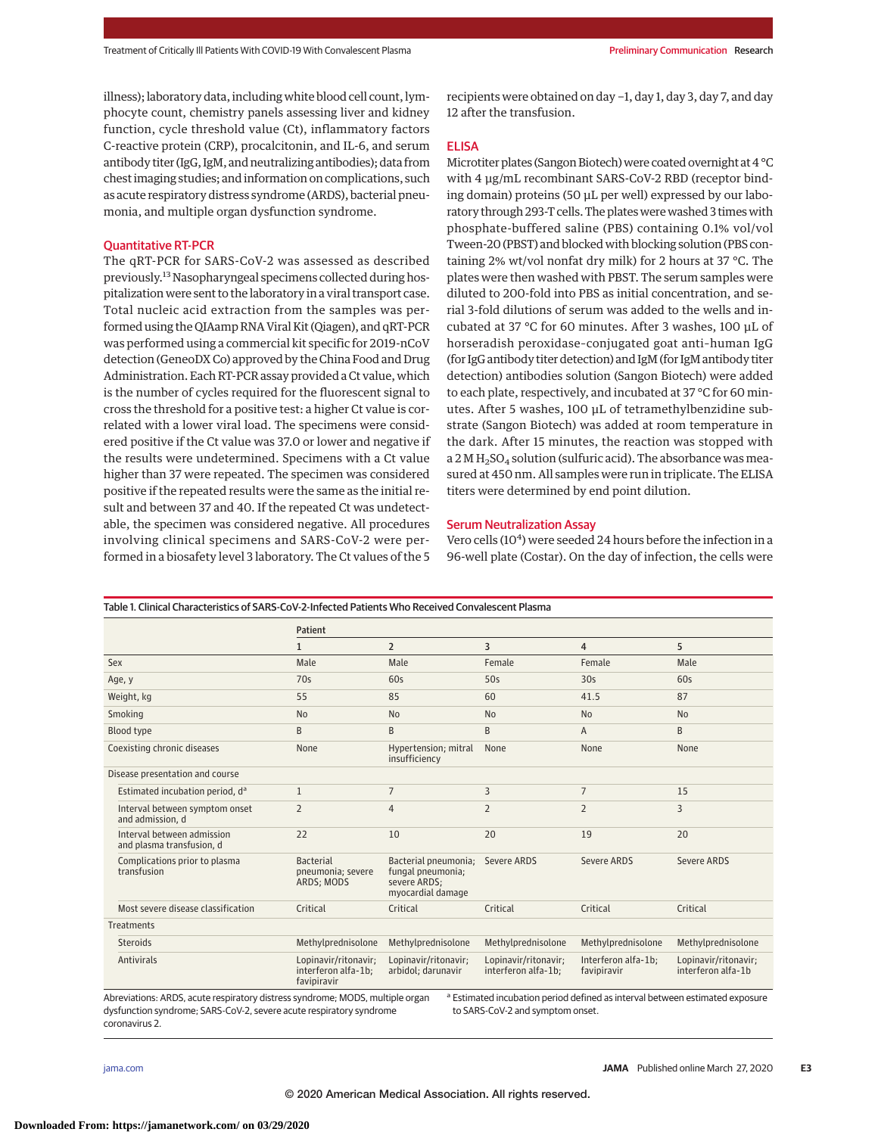illness); laboratory data, including white blood cell count, lymphocyte count, chemistry panels assessing liver and kidney function, cycle threshold value (Ct), inflammatory factors C-reactive protein (CRP), procalcitonin, and IL-6, and serum antibody titer (IgG, IgM, and neutralizing antibodies); data from chest imaging studies; and information on complications, such as acute respiratory distress syndrome (ARDS), bacterial pneumonia, and multiple organ dysfunction syndrome.

#### Quantitative RT-PCR

The qRT-PCR for SARS-CoV-2 was assessed as described previously.<sup>13</sup> Nasopharyngeal specimens collected during hospitalization were sent to the laboratory in a viral transport case. Total nucleic acid extraction from the samples was performed using the QIAamp RNA Viral Kit (Qiagen), and qRT-PCR was performed using a commercial kit specific for 2019-nCoV detection (GeneoDX Co) approved by the China Food and Drug Administration. Each RT-PCR assay provided a Ct value, which is the number of cycles required for the fluorescent signal to cross the threshold for a positive test: a higher Ct value is correlated with a lower viral load. The specimens were considered positive if the Ct value was 37.0 or lower and negative if the results were undetermined. Specimens with a Ct value higher than 37 were repeated. The specimen was considered positive if the repeated results were the same as the initial result and between 37 and 40. If the repeated Ct was undetectable, the specimen was considered negative. All procedures involving clinical specimens and SARS-CoV-2 were performed in a biosafety level 3 laboratory. The Ct values of the 5

recipients were obtained on day −1, day 1, day 3, day 7, and day 12 after the transfusion.

#### ELISA

Microtiter plates (Sangon Biotech) were coated overnight at 4 °C with 4 μg/mL recombinant SARS-CoV-2 RBD (receptor binding domain) proteins (50 μL per well) expressed by our laboratory through 293-T cells. The plates were washed 3 times with phosphate-buffered saline (PBS) containing 0.1% vol/vol Tween-20 (PBST) and blocked with blocking solution (PBS containing 2% wt/vol nonfat dry milk) for 2 hours at 37 °C. The plates were then washed with PBST. The serum samples were diluted to 200-fold into PBS as initial concentration, and serial 3-fold dilutions of serum was added to the wells and incubated at 37 °C for 60 minutes. After 3 washes, 100 μL of horseradish peroxidase–conjugated goat anti–human IgG (for IgG antibody titer detection) and IgM (for IgM antibody titer detection) antibodies solution (Sangon Biotech) were added to each plate, respectively, and incubated at 37 °C for 60 minutes. After 5 washes, 100 μL of tetramethylbenzidine substrate (Sangon Biotech) was added at room temperature in the dark. After 15 minutes, the reaction was stopped with a 2 M  $H<sub>2</sub>SO<sub>4</sub>$  solution (sulfuric acid). The absorbance was measured at 450 nm. All samples were run in triplicate. The ELISA titers were determined by end point dilution.

#### Serum Neutralization Assay

Vero cells (10<sup>4</sup>) were seeded 24 hours before the infection in a 96-well plate (Costar). On the day of infection, the cells were

|                                                         | Patient                                                    |                                                                                |                                             |                                    |                                            |
|---------------------------------------------------------|------------------------------------------------------------|--------------------------------------------------------------------------------|---------------------------------------------|------------------------------------|--------------------------------------------|
|                                                         | $\mathbf{1}$                                               | $\overline{2}$                                                                 | 3                                           | 4                                  | 5                                          |
| Sex                                                     | Male                                                       | Male                                                                           | Female                                      | Female                             | Male                                       |
| Age, y                                                  | 70s                                                        | 60s                                                                            | 50s                                         | 30 <sub>s</sub>                    | 60s                                        |
| Weight, kg                                              | 55                                                         | 85                                                                             | 60                                          | 41.5                               | 87                                         |
| Smoking                                                 | <b>No</b>                                                  | N <sub>0</sub>                                                                 | N <sub>0</sub>                              | <b>No</b>                          | <b>No</b>                                  |
| Blood type                                              | B                                                          | B                                                                              | B                                           | A                                  | B                                          |
| Coexisting chronic diseases                             | None                                                       | Hypertension; mitral<br>insufficiency                                          | None                                        | None                               | <b>None</b>                                |
| Disease presentation and course                         |                                                            |                                                                                |                                             |                                    |                                            |
| Estimated incubation period, d <sup>a</sup>             | $\mathbf{1}$                                               | $\overline{7}$                                                                 | 3                                           | $\overline{7}$                     | 15                                         |
| Interval between symptom onset<br>and admission, d      | $\overline{2}$                                             | $\overline{4}$                                                                 | $\overline{2}$                              | $\overline{2}$                     | 3                                          |
| Interval between admission<br>and plasma transfusion, d | 22                                                         | 10                                                                             | 20                                          | 19                                 | 20                                         |
| Complications prior to plasma<br>transfusion            | <b>Bacterial</b><br>pneumonia; severe<br>ARDS; MODS        | Bacterial pneumonia;<br>fungal pneumonia;<br>severe ARDS;<br>myocardial damage | Severe ARDS                                 | <b>Severe ARDS</b>                 | Severe ARDS                                |
| Most severe disease classification                      | Critical                                                   | Critical                                                                       | Critical                                    | Critical                           | Critical                                   |
| <b>Treatments</b>                                       |                                                            |                                                                                |                                             |                                    |                                            |
| <b>Steroids</b>                                         | Methylprednisolone                                         | Methylprednisolone                                                             | Methylprednisolone                          | Methylprednisolone                 | Methylprednisolone                         |
| <b>Antivirals</b>                                       | Lopinavir/ritonavir;<br>interferon alfa-1b;<br>favipiravir | Lopinavir/ritonavir;<br>arbidol; darunavir                                     | Lopinavir/ritonavir;<br>interferon alfa-1b; | Interferon alfa-1b;<br>favipiravir | Lopinavir/ritonavir;<br>interferon alfa-1b |

coronavirus 2.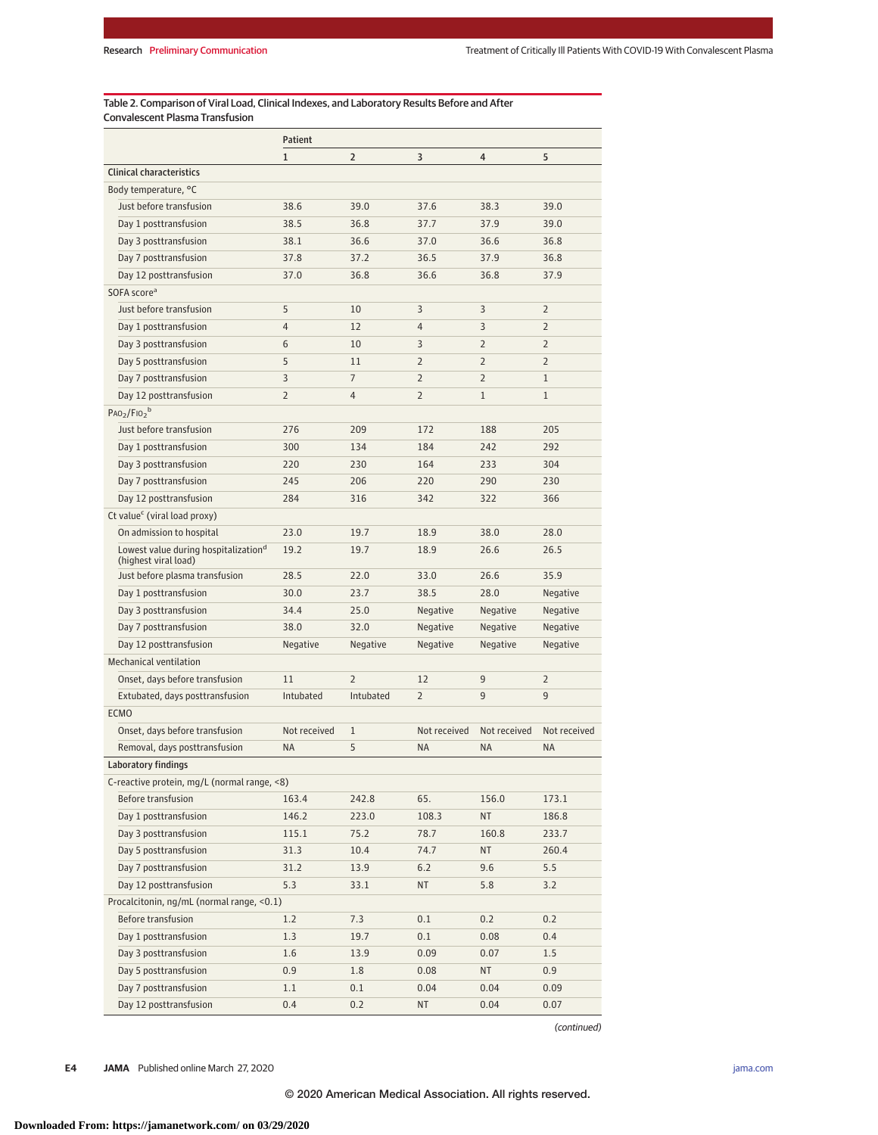Table 2. Comparison of Viral Load, Clinical Indexes, and Laboratory Results Before and After Convalescent Plasma Transfusion

|                                                  | <b>Patient</b> |                |                |                |                |  |
|--------------------------------------------------|----------------|----------------|----------------|----------------|----------------|--|
|                                                  | 1              | $\overline{2}$ | 3              | 4              | 5              |  |
| <b>Clinical characteristics</b>                  |                |                |                |                |                |  |
| Body temperature, °C                             |                |                |                |                |                |  |
| Just before transfusion                          | 38.6           | 39.0           | 37.6           | 38.3           | 39.0           |  |
| Day 1 posttransfusion                            | 38.5           | 36.8           | 37.7           | 37.9           | 39.0           |  |
| Day 3 posttransfusion                            | 38.1           | 36.6           | 37.0           | 36.6           | 36.8           |  |
| Day 7 posttransfusion                            | 37.8           | 37.2           | 36.5           | 37.9           | 36.8           |  |
| Day 12 posttransfusion                           | 37.0           | 36.8           | 36.6           | 36.8           | 37.9           |  |
| SOFA score <sup>a</sup>                          |                |                |                |                |                |  |
| Just before transfusion                          | 5              | 10             | 3              | 3              | $\overline{2}$ |  |
| Day 1 posttransfusion                            | 4              | 12             | $\overline{4}$ | 3              | $\overline{2}$ |  |
| Day 3 posttransfusion                            | 6              | 10             | 3              | $\overline{2}$ | $\overline{2}$ |  |
| Day 5 posttransfusion                            | 5              | 11             | $\overline{2}$ | $\overline{2}$ | $\overline{2}$ |  |
| Day 7 posttransfusion                            | 3              | $\overline{7}$ | $\overline{2}$ | $\overline{2}$ | $\mathbf{1}$   |  |
| Day 12 posttransfusion                           | $\overline{2}$ | 4              | $\overline{2}$ | $\mathbf{1}$   | $\mathbf{1}$   |  |
| $PaO2/FiO2b$                                     |                |                |                |                |                |  |
| Just before transfusion                          | 276            | 209            | 172            | 188            | 205            |  |
| Day 1 posttransfusion                            | 300            | 134            | 184            | 242            | 292            |  |
| Day 3 posttransfusion                            | 220            | 230            | 164            | 233            | 304            |  |
| Day 7 posttransfusion                            | 245            | 206            | 220            | 290            | 230            |  |
| Day 12 posttransfusion                           | 284            | 316            | 342            | 322            | 366            |  |
| Ct value <sup>c</sup> (viral load proxy)         |                |                |                |                |                |  |
| On admission to hospital                         | 23.0           | 19.7           | 18.9           | 38.0           | 28.0           |  |
| Lowest value during hospitalization <sup>d</sup> | 19.2           | 19.7           | 18.9           | 26.6           | 26.5           |  |
| (highest viral load)                             |                |                |                |                |                |  |
| Just before plasma transfusion                   | 28.5           | 22.0           | 33.0           | 26.6           | 35.9           |  |
| Day 1 posttransfusion                            | 30.0           | 23.7           | 38.5           | 28.0           | Negative       |  |
| Day 3 posttransfusion                            | 34.4           | 25.0           | Negative       | Negative       | Negative       |  |
| Day 7 posttransfusion                            | 38.0           | 32.0           | Negative       | Negative       | Negative       |  |
| Day 12 posttransfusion                           | Negative       | Negative       | Negative       | Negative       | Negative       |  |
| Mechanical ventilation                           |                |                |                |                |                |  |
| Onset, days before transfusion                   | 11             | $\overline{2}$ | 12             | 9              | $\overline{2}$ |  |
| Extubated, days posttransfusion                  | Intubated      | Intubated      | $\overline{2}$ | 9              | 9              |  |
| <b>ECMO</b>                                      |                |                |                |                |                |  |
| Onset, days before transfusion                   | Not received   | $\mathbf{1}$   | Not received   | Not received   | Not received   |  |
| Removal, days posttransfusion                    | <b>NA</b>      | 5              | <b>NA</b>      | <b>NA</b>      | <b>NA</b>      |  |
| <b>Laboratory findings</b>                       |                |                |                |                |                |  |
| C-reactive protein, mg/L (normal range, <8)      |                |                |                |                |                |  |
| Before transfusion                               | 163.4          | 242.8          | 65.            | 156.0          | 173.1          |  |
| Day 1 posttransfusion                            | 146.2          | 223.0          | 108.3          | ΝT             | 186.8          |  |
| Day 3 posttransfusion                            | 115.1          | 75.2           | 78.7           | 160.8          | 233.7          |  |
| Day 5 posttransfusion                            | 31.3           | 10.4           | 74.7           | ΝT             | 260.4          |  |
| Day 7 posttransfusion                            | 31.2           | 13.9           | $6.2$          | 9.6            | 5.5            |  |
| Day 12 posttransfusion                           | 5.3            | 33.1           | ΝT             | 5.8            | 3.2            |  |
| Procalcitonin, ng/mL (normal range, <0.1)        |                |                |                |                |                |  |
| Before transfusion                               | 1.2            | 7.3            | 0.1            | 0.2            | 0.2            |  |
| Day 1 posttransfusion                            | 1.3            | 19.7           | 0.1            | 0.08           | 0.4            |  |
| Day 3 posttransfusion                            | 1.6            | 13.9           | 0.09           | 0.07           | $1.5\,$        |  |
| Day 5 posttransfusion                            | 0.9            | 1.8            | 0.08           | ΝT             | 0.9            |  |
| Day 7 posttransfusion                            | 1.1            | 0.1            | 0.04           | 0.04           | 0.09           |  |
| Day 12 posttransfusion                           | 0.4            | 0.2            | ΝT             | 0.04           | 0.07           |  |

(continued)

**E4 JAMA** Published online March 27, 2020 **(Reprinted)** [jama.com](http://www.jama.com/?utm_campaign=articlePDF%26utm_medium=articlePDFlink%26utm_source=articlePDF%26utm_content=jama.2020.4783)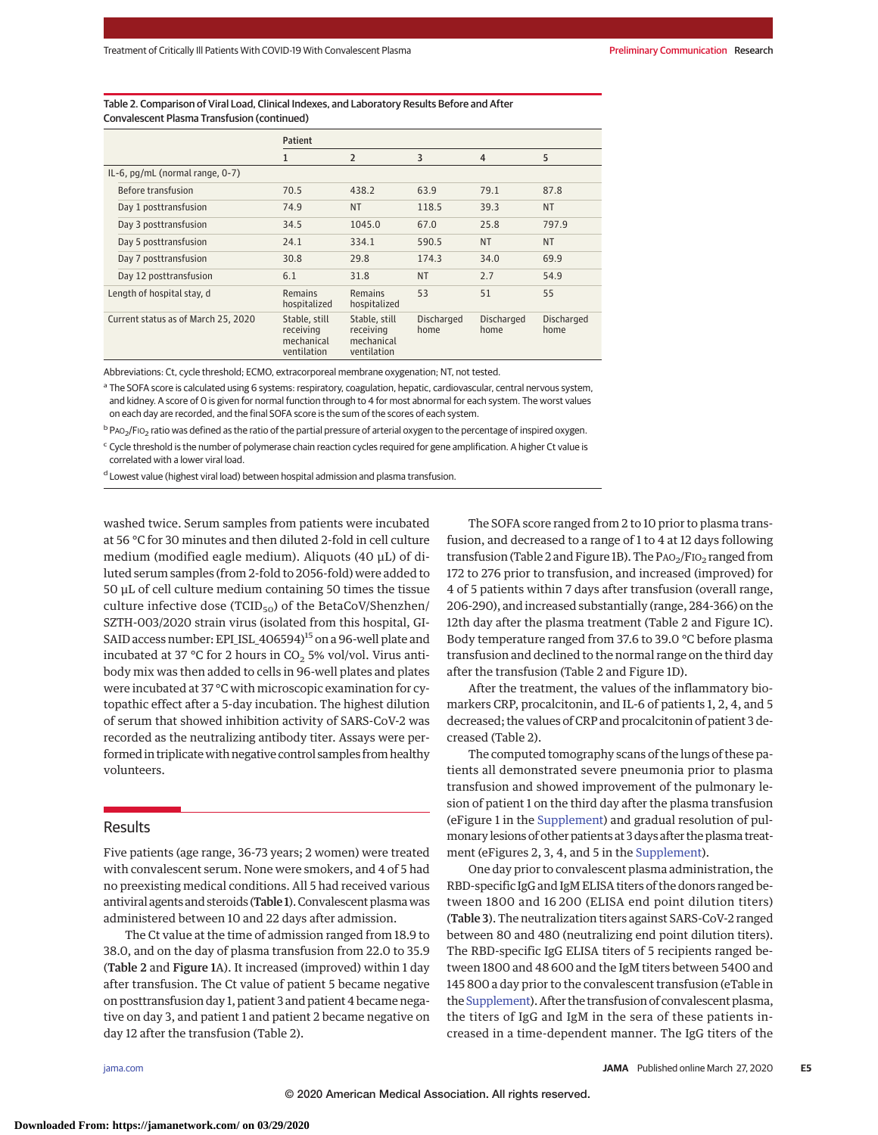Table 2. Comparison of Viral Load, Clinical Indexes, and Laboratory Results Before and After Convalescent Plasma Transfusion (continued)

|                                     | Patient                                                 |                                                         |                    |                    |                    |
|-------------------------------------|---------------------------------------------------------|---------------------------------------------------------|--------------------|--------------------|--------------------|
|                                     | 1                                                       | $\overline{2}$                                          | 3                  | $\overline{4}$     | 5                  |
| IL-6, pg/mL (normal range, 0-7)     |                                                         |                                                         |                    |                    |                    |
| Before transfusion                  | 70.5                                                    | 438.2                                                   | 63.9               | 79.1               | 87.8               |
| Day 1 posttransfusion               | 74.9                                                    | <b>NT</b>                                               | 118.5              | 39.3               | <b>NT</b>          |
| Day 3 posttransfusion               | 34.5                                                    | 1045.0                                                  | 67.0               | 25.8               | 797.9              |
| Day 5 posttransfusion               | 24.1                                                    | 334.1                                                   | 590.5              | <b>NT</b>          | <b>NT</b>          |
| Day 7 posttransfusion               | 30.8                                                    | 29.8                                                    | 174.3              | 34.0               | 69.9               |
| Day 12 posttransfusion              | 6.1                                                     | 31.8                                                    | <b>NT</b>          | 2.7                | 54.9               |
| Length of hospital stay, d          | <b>Remains</b><br>hospitalized                          | Remains<br>hospitalized                                 | 53                 | 51                 | 55                 |
| Current status as of March 25, 2020 | Stable, still<br>receiving<br>mechanical<br>ventilation | Stable, still<br>receiving<br>mechanical<br>ventilation | Discharged<br>home | Discharged<br>home | Discharged<br>home |

Abbreviations: Ct, cycle threshold; ECMO, extracorporeal membrane oxygenation; NT, not tested.

a The SOFA score is calculated using 6 systems: respiratory, coagulation, hepatic, cardiovascular, central nervous system, and kidney. A score of 0 is given for normal function through to 4 for most abnormal for each system. The worst values on each day are recorded, and the final SOFA score is the sum of the scores of each system.

 $b$  PAO<sub>2</sub>/FIO<sub>2</sub> ratio was defined as the ratio of the partial pressure of arterial oxygen to the percentage of inspired oxygen.

<sup>c</sup> Cycle threshold is the number of polymerase chain reaction cycles required for gene amplification. A higher Ct value is correlated with a lower viral load.

<sup>d</sup> Lowest value (highest viral load) between hospital admission and plasma transfusion.

washed twice. Serum samples from patients were incubated at 56 °C for 30 minutes and then diluted 2-fold in cell culture medium (modified eagle medium). Aliquots (40 μL) of diluted serum samples (from 2-fold to 2056-fold) were added to 50 μL of cell culture medium containing 50 times the tissue culture infective dose (TCID<sub>50</sub>) of the BetaCoV/Shenzhen/ SZTH-003/2020 strain virus (isolated from this hospital, GI-SAID access number: EPI\_ISL\_406594)<sup>15</sup> on a 96-well plate and incubated at 37 °C for 2 hours in  $CO<sub>2</sub>$  5% vol/vol. Virus antibody mix was then added to cells in 96-well plates and plates were incubated at 37 °C with microscopic examination for cytopathic effect after a 5-day incubation. The highest dilution of serum that showed inhibition activity of SARS-CoV-2 was recorded as the neutralizing antibody titer. Assays were performed in triplicate with negative control samples from healthy volunteers.

# **Results**

Five patients (age range, 36-73 years; 2 women) were treated with convalescent serum. None were smokers, and 4 of 5 had no preexisting medical conditions. All 5 had received various antiviral agents and steroids (Table 1). Convalescent plasmawas administered between 10 and 22 days after admission.

The Ct value at the time of admission ranged from 18.9 to 38.0, and on the day of plasma transfusion from 22.0 to 35.9 (Table 2 and Figure 1A). It increased (improved) within 1 day after transfusion. The Ct value of patient 5 became negative on posttransfusion day 1, patient 3 and patient 4 became negative on day 3, and patient 1 and patient 2 became negative on day 12 after the transfusion (Table 2).

The SOFA score ranged from 2 to 10 prior to plasma transfusion, and decreased to a range of 1 to 4 at 12 days following transfusion (Table 2 and Figure 1B). The  $PAO_2/FIO_2$  ranged from 172 to 276 prior to transfusion, and increased (improved) for 4 of 5 patients within 7 days after transfusion (overall range, 206-290), and increased substantially (range, 284-366) on the 12th day after the plasma treatment (Table 2 and Figure 1C). Body temperature ranged from 37.6 to 39.0 °C before plasma transfusion and declined to the normal range on the third day after the transfusion (Table 2 and Figure 1D).

After the treatment, the values of the inflammatory biomarkers CRP, procalcitonin, and IL-6 of patients 1, 2, 4, and 5 decreased; the values of CRP and procalcitonin of patient 3 decreased (Table 2).

The computed tomography scans of the lungs of these patients all demonstrated severe pneumonia prior to plasma transfusion and showed improvement of the pulmonary lesion of patient 1 on the third day after the plasma transfusion (eFigure 1 in the [Supplement\)](https://jamanetwork.com/journals/jama/fullarticle/10.1001/jama.2020.4783?utm_campaign=articlePDF%26utm_medium=articlePDFlink%26utm_source=articlePDF%26utm_content=jama.2020.4783) and gradual resolution of pulmonary lesions of other patients at 3 days after the plasma treatment (eFigures 2, 3, 4, and 5 in the [Supplement\)](https://jamanetwork.com/journals/jama/fullarticle/10.1001/jama.2020.4783?utm_campaign=articlePDF%26utm_medium=articlePDFlink%26utm_source=articlePDF%26utm_content=jama.2020.4783).

One day prior to convalescent plasma administration, the RBD-specific IgG and IgM ELISA titers of the donors ranged between 1800 and 16 200 (ELISA end point dilution titers) (Table 3). The neutralization titers against SARS-CoV-2 ranged between 80 and 480 (neutralizing end point dilution titers). The RBD-specific IgG ELISA titers of 5 recipients ranged between 1800 and 48 600 and the IgM titers between 5400 and 145 800 a day prior to the convalescent transfusion (eTable in the [Supplement\)](https://jamanetwork.com/journals/jama/fullarticle/10.1001/jama.2020.4783?utm_campaign=articlePDF%26utm_medium=articlePDFlink%26utm_source=articlePDF%26utm_content=jama.2020.4783). After the transfusion of convalescent plasma, the titers of IgG and IgM in the sera of these patients increased in a time-dependent manner. The IgG titers of the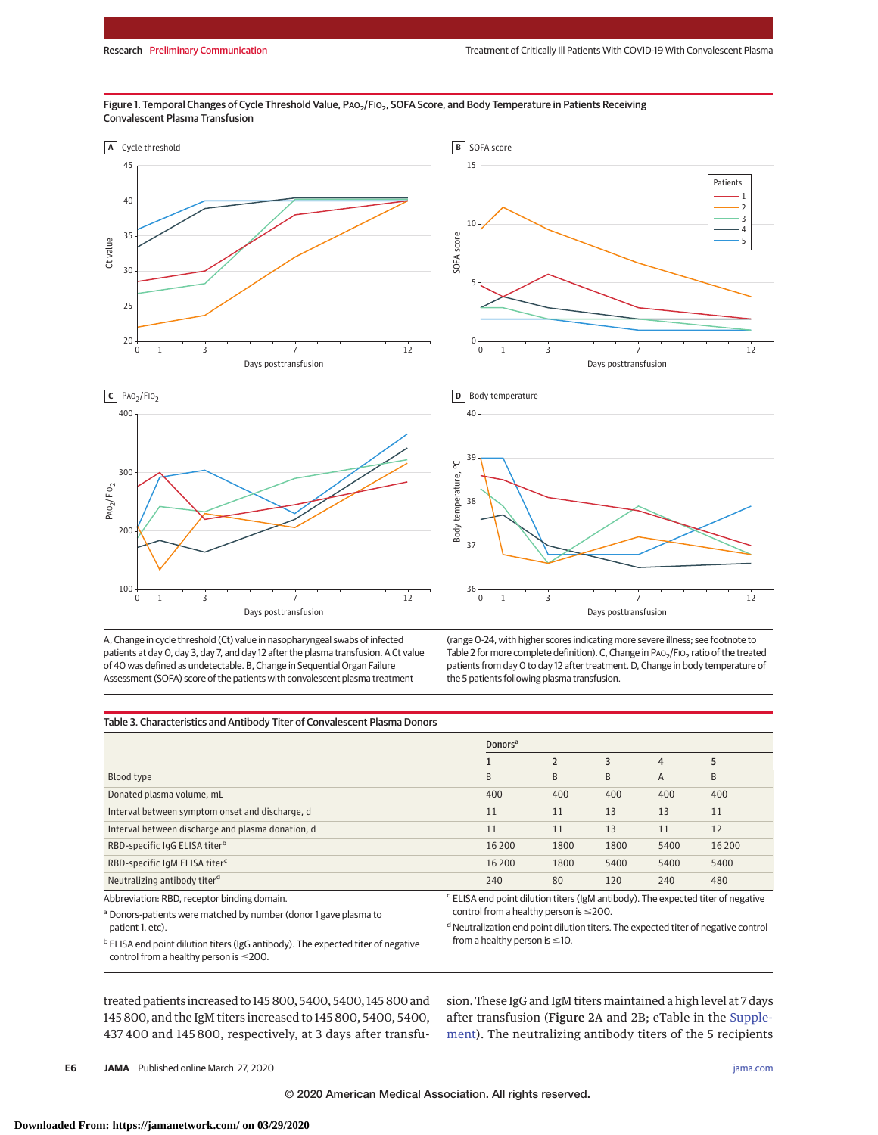#### Figure 1. Temporal Changes of Cycle Threshold Value, PAO<sub>2</sub>/FIO<sub>2</sub>, SOFA Score, and Body Temperature in Patients Receiving Convalescent Plasma Transfusion









A, Change in cycle threshold (Ct) value in nasopharyngeal swabs of infected patients at day 0, day 3, day 7, and day 12 after the plasma transfusion. A Ct value of 40 was defined as undetectable. B, Change in Sequential Organ Failure Assessment (SOFA) score of the patients with convalescent plasma treatment

(range 0-24, with higher scores indicating more severe illness; see footnote to Table 2 for more complete definition). C, Change in PAO<sub>2</sub>/FIO<sub>2</sub> ratio of the treated patients from day 0 to day 12 after treatment. D, Change in body temperature of the 5 patients following plasma transfusion.

#### Table 3. Characteristics and Antibody Titer of Convalescent Plasma Donors

|                                                   | <b>Donors</b> <sup>a</sup>                                                                  |      |      |      |        |
|---------------------------------------------------|---------------------------------------------------------------------------------------------|------|------|------|--------|
|                                                   |                                                                                             |      | 3    | 4    | 5      |
| Blood type                                        | B                                                                                           | B    | B    | A    | B      |
| Donated plasma volume, mL                         | 400                                                                                         | 400  | 400  | 400  | 400    |
| Interval between symptom onset and discharge, d   | 11                                                                                          | 11   | 13   | 13   | 11     |
| Interval between discharge and plasma donation, d | 11                                                                                          | 11   | 13   | 11   | 12     |
| RBD-specific IgG ELISA titer <sup>b</sup>         | 16 200                                                                                      | 1800 | 1800 | 5400 | 16 200 |
| RBD-specific IqM ELISA titer <sup>c</sup>         | 16 200                                                                                      | 1800 | 5400 | 5400 | 5400   |
| Neutralizing antibody titer <sup>d</sup>          | 240                                                                                         | 80   | 120  | 240  | 480    |
| Abbreviation: RBD, receptor binding domain.       | <sup>c</sup> ELISA end point dilution titers (IgM antibody). The expected titer of negative |      |      |      |        |

<sup>a</sup> Donors-patients were matched by number (donor 1 gave plasma to patient 1, etc).

control from a healthy person is  $\leq$ 200.  $d$  Neutralization end point dilution titers. The expected titer of negative control

 $b$  ELISA end point dilution titers (IgG antibody). The expected titer of negative control from a healthy person is  $\leq$ 200.

from a healthy person is  $\leq$ 10.

treated patients increased to 145 800, 5400, 5400, 145 800 and 145 800, and the IgM titers increased to 145 800, 5400, 5400, 437 400 and 145 800, respectively, at 3 days after transfusion. These IgG and IgM titers maintained a high level at 7 days after transfusion (Figure 2A and 2B; eTable in the [Supple](https://jamanetwork.com/journals/jama/fullarticle/10.1001/jama.2020.4783?utm_campaign=articlePDF%26utm_medium=articlePDFlink%26utm_source=articlePDF%26utm_content=jama.2020.4783)[ment\)](https://jamanetwork.com/journals/jama/fullarticle/10.1001/jama.2020.4783?utm_campaign=articlePDF%26utm_medium=articlePDFlink%26utm_source=articlePDF%26utm_content=jama.2020.4783). The neutralizing antibody titers of the 5 recipients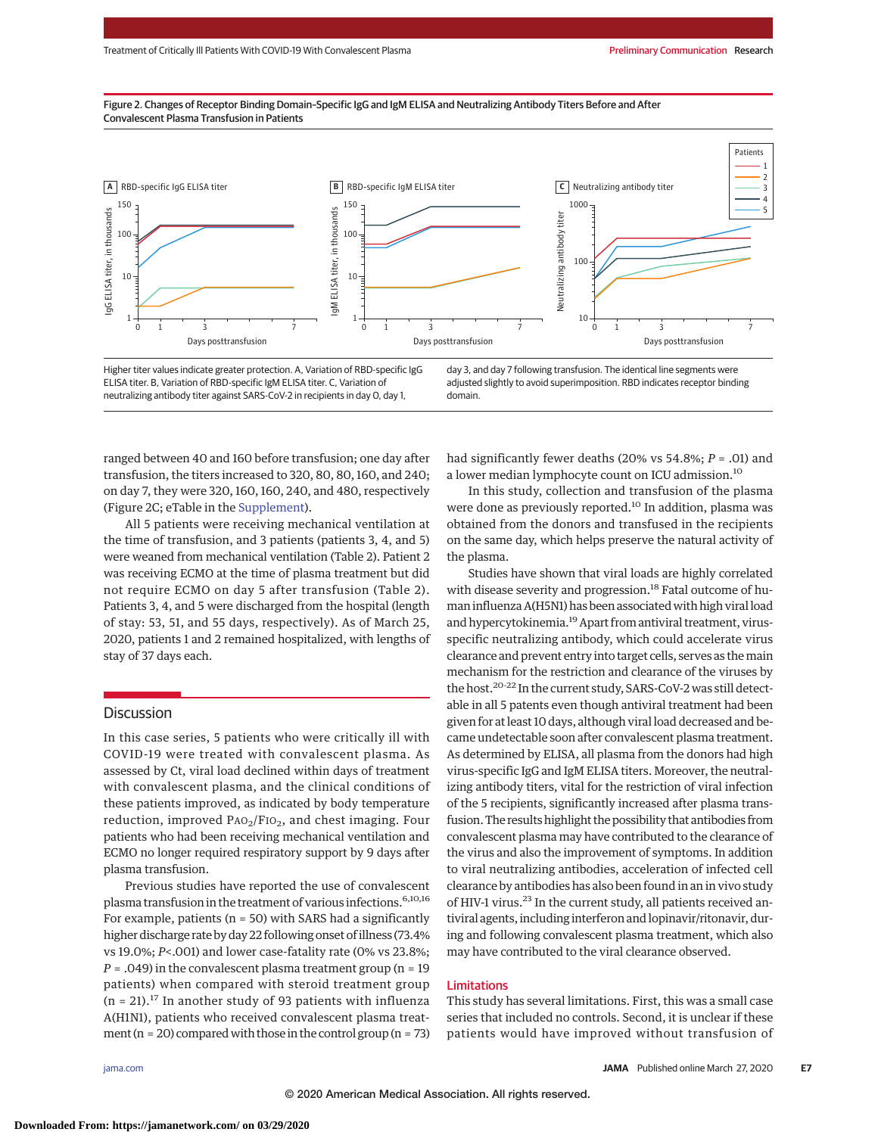Figure 2. Changes of Receptor Binding Domain–Specific IgG and IgM ELISA and Neutralizing Antibody Titers Before and After Convalescent Plasma Transfusion in Patients



Higher titer values indicate greater protection. A, Variation of RBD-specific IgG ELISA titer. B, Variation of RBD-specific IgM ELISA titer. C, Variation of neutralizing antibody titer against SARS-CoV-2 in recipients in day 0, day 1, day 3, and day 7 following transfusion. The identical line segments were adjusted slightly to avoid superimposition. RBD indicates receptor binding domain.

ranged between 40 and 160 before transfusion; one day after transfusion, the titers increased to 320, 80, 80, 160, and 240; on day 7, they were 320, 160, 160, 240, and 480, respectively (Figure 2C; eTable in the [Supplement\)](https://jamanetwork.com/journals/jama/fullarticle/10.1001/jama.2020.4783?utm_campaign=articlePDF%26utm_medium=articlePDFlink%26utm_source=articlePDF%26utm_content=jama.2020.4783).

All 5 patients were receiving mechanical ventilation at the time of transfusion, and 3 patients (patients 3, 4, and 5) were weaned from mechanical ventilation (Table 2). Patient 2 was receiving ECMO at the time of plasma treatment but did not require ECMO on day 5 after transfusion (Table 2). Patients 3, 4, and 5 were discharged from the hospital (length of stay: 53, 51, and 55 days, respectively). As of March 25, 2020, patients 1 and 2 remained hospitalized, with lengths of stay of 37 days each.

# **Discussion**

In this case series, 5 patients who were critically ill with COVID-19 were treated with convalescent plasma. As assessed by Ct, viral load declined within days of treatment with convalescent plasma, and the clinical conditions of these patients improved, as indicated by body temperature reduction, improved  $PAO_2/FIO_2$ , and chest imaging. Four patients who had been receiving mechanical ventilation and ECMO no longer required respiratory support by 9 days after plasma transfusion.

Previous studies have reported the use of convalescent plasma transfusion in the treatment of various infections.<sup>6,10,16</sup> For example, patients ( $n = 50$ ) with SARS had a significantly higher discharge rate by day 22 following onset of illness (73.4% vs 19.0%; *P*<.001) and lower case-fatality rate (0% vs 23.8%;  $P = .049$ ) in the convalescent plasma treatment group (n = 19 patients) when compared with steroid treatment group  $(n = 21).$ <sup>17</sup> In another study of 93 patients with influenza A(H1N1), patients who received convalescent plasma treatment ( $n = 20$ ) compared with those in the control group ( $n = 73$ )

had significantly fewer deaths (20% vs 54.8%; *P* = .01) and a lower median lymphocyte count on ICU admission.10

In this study, collection and transfusion of the plasma were done as previously reported.<sup>10</sup> In addition, plasma was obtained from the donors and transfused in the recipients on the same day, which helps preserve the natural activity of the plasma.

Studies have shown that viral loads are highly correlated with disease severity and progression.<sup>18</sup> Fatal outcome of human influenza A(H5N1) has been associated with high viral load and hypercytokinemia.<sup>19</sup> Apart from antiviral treatment, virusspecific neutralizing antibody, which could accelerate virus clearance and prevent entry into target cells, serves as themain mechanism for the restriction and clearance of the viruses by the host.20-22 In the current study, SARS-CoV-2 was still detectable in all 5 patents even though antiviral treatment had been given for at least 10 days, although viral load decreased and became undetectable soon after convalescent plasma treatment. As determined by ELISA, all plasma from the donors had high virus-specific IgG and IgM ELISA titers. Moreover, the neutralizing antibody titers, vital for the restriction of viral infection of the 5 recipients, significantly increased after plasma transfusion. The results highlight the possibility that antibodies from convalescent plasma may have contributed to the clearance of the virus and also the improvement of symptoms. In addition to viral neutralizing antibodies, acceleration of infected cell clearance by antibodies has also been found in an in vivo study of HIV-1 virus.<sup>23</sup> In the current study, all patients received antiviral agents, including interferon and lopinavir/ritonavir, during and following convalescent plasma treatment, which also may have contributed to the viral clearance observed.

# Limitations

This study has several limitations. First, this was a small case series that included no controls. Second, it is unclear if these patients would have improved without transfusion of